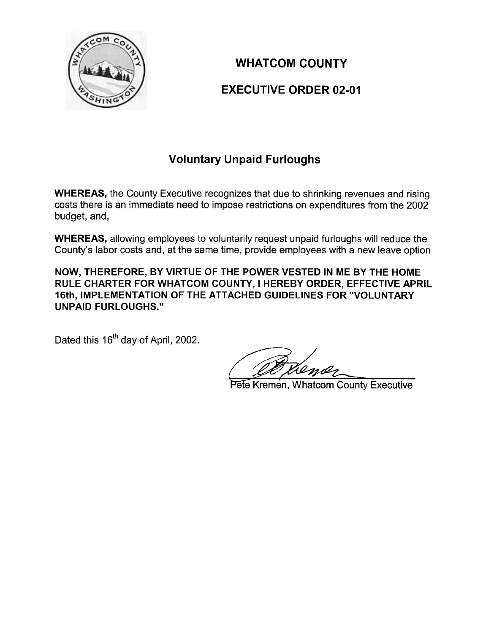

## WHATCOM COUNTY EXECUTIVE ORDER 02-01

## Voluntary Unpaid Furloughs

WHEREAS, the County Executive recognizes that due to shrinking revenues and rising costs there is an immediate need to impose restrictions on expenditures from the 2002 budget, and,

WHEREAS, allowing employees to voluntarily request unpaid furloughs will reduce the County's labor costs and, at the same time, provide employees with a new leave option

NOW, THEREFORE, BY VIRTUE OF THE POWER VESTED IN ME BY THE HOME RULE CHARTER FOR WHATCOM COUNTY, I HEREBY ORDER, EFFECTIVE APRIL 16th, IMPLEMENTATION OF THE ATTACHED GUIDELINES FOR "VOLUNTARY UNPAID FURLOUGHS."

Dated this 16<sup>th</sup> day of April, 2002.

Pete Kremen, Whatcom County Executive